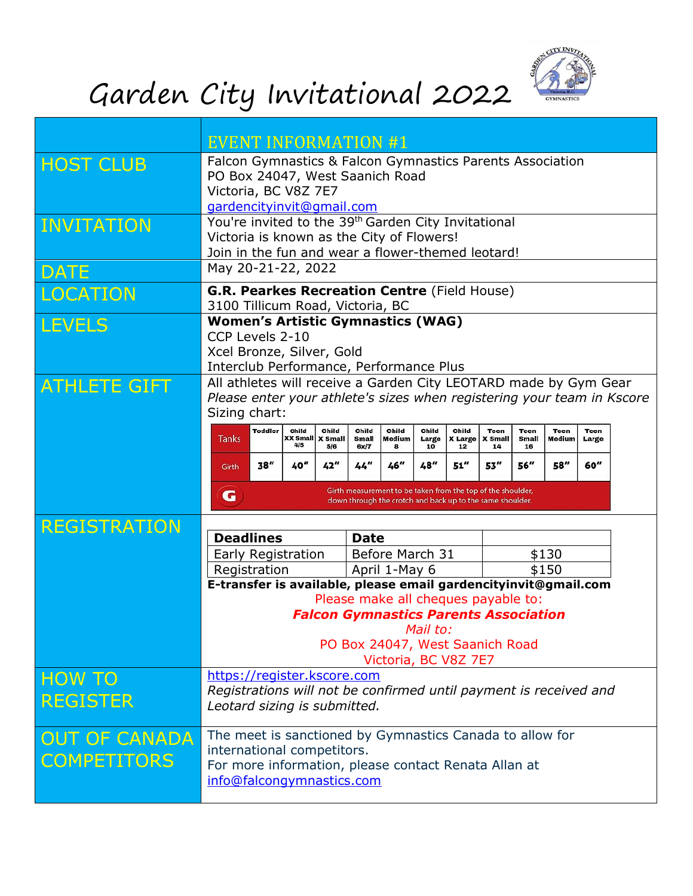

## Garden City Invitational 2022

|                                            | <b>EVENT INFORMATION #1</b>                                                                                                                                                 |         |              |                                         |                               |                      |                      |                        |                              |                     |                |               |  |
|--------------------------------------------|-----------------------------------------------------------------------------------------------------------------------------------------------------------------------------|---------|--------------|-----------------------------------------|-------------------------------|----------------------|----------------------|------------------------|------------------------------|---------------------|----------------|---------------|--|
| <b>HOST CLUB</b>                           | Falcon Gymnastics & Falcon Gymnastics Parents Association<br>PO Box 24047, West Saanich Road<br>Victoria, BC V8Z 7E7<br>gardencityinvit@gmail.com                           |         |              |                                         |                               |                      |                      |                        |                              |                     |                |               |  |
| <b>INVITATION</b>                          | You're invited to the 39 <sup>th</sup> Garden City Invitational<br>Victoria is known as the City of Flowers!<br>Join in the fun and wear a flower-themed leotard!           |         |              |                                         |                               |                      |                      |                        |                              |                     |                |               |  |
| <b>DATE</b>                                | May 20-21-22, 2022                                                                                                                                                          |         |              |                                         |                               |                      |                      |                        |                              |                     |                |               |  |
| LOCATION                                   | G.R. Pearkes Recreation Centre (Field House)<br>3100 Tillicum Road, Victoria, BC                                                                                            |         |              |                                         |                               |                      |                      |                        |                              |                     |                |               |  |
| <b>LEVELS</b>                              | <b>Women's Artistic Gymnastics (WAG)</b><br>CCP Levels 2-10<br>Xcel Bronze, Silver, Gold<br>Interclub Performance, Performance Plus                                         |         |              |                                         |                               |                      |                      |                        |                              |                     |                |               |  |
| <b>ATHLETE GIFT</b>                        | All athletes will receive a Garden City LEOTARD made by Gym Gear<br>Please enter your athlete's sizes when registering your team in Kscore<br>Sizing chart:                 |         |              |                                         |                               |                      |                      |                        |                              |                     |                |               |  |
|                                            | <b>Tanks</b>                                                                                                                                                                | Toddler | Child<br>4/5 | Child<br><b>XX Small</b> X Small<br>5/6 | Child<br><b>Small</b><br>6x/7 | Child<br>Medium<br>8 | Child<br>Large<br>10 | Child<br>X Large<br>12 | Teen<br><b>X</b> Small<br>14 | Teen<br>Small<br>16 | Teen<br>Medium | Teen<br>Large |  |
|                                            | Girth                                                                                                                                                                       | 38"     | 40"          | 42"                                     | 44"                           | 46"                  | 48"                  | 51"                    | 53"                          | 56"                 | 58"            | 60"           |  |
|                                            | Girth measurement to be taken from the top of the shoulder,<br>G<br>down through the crotch and back up to the same shoulder.                                               |         |              |                                         |                               |                      |                      |                        |                              |                     |                |               |  |
| <b>REGISTRATION</b>                        | <b>Deadlines</b><br><b>Date</b>                                                                                                                                             |         |              |                                         |                               |                      |                      |                        |                              |                     |                |               |  |
|                                            | Early Registration                                                                                                                                                          |         |              |                                         | Before March 31               |                      |                      |                        | \$130                        |                     |                |               |  |
|                                            | \$150<br>Registration<br>April 1-May 6                                                                                                                                      |         |              |                                         |                               |                      |                      |                        |                              |                     |                |               |  |
|                                            | E-transfer is available, please email gardencityinvit@gmail.com                                                                                                             |         |              |                                         |                               |                      |                      |                        |                              |                     |                |               |  |
|                                            | Please make all cheques payable to:<br><b>Falcon Gymnastics Parents Association</b>                                                                                         |         |              |                                         |                               |                      |                      |                        |                              |                     |                |               |  |
|                                            | Mail to:                                                                                                                                                                    |         |              |                                         |                               |                      |                      |                        |                              |                     |                |               |  |
|                                            | PO Box 24047, West Saanich Road<br>Victoria, BC V8Z 7E7                                                                                                                     |         |              |                                         |                               |                      |                      |                        |                              |                     |                |               |  |
| <b>HOW TO</b>                              | https://register.kscore.com                                                                                                                                                 |         |              |                                         |                               |                      |                      |                        |                              |                     |                |               |  |
| <b>REGISTER</b>                            | Registrations will not be confirmed until payment is received and<br>Leotard sizing is submitted.                                                                           |         |              |                                         |                               |                      |                      |                        |                              |                     |                |               |  |
| <b>OUT OF CANADA</b><br><b>COMPETITORS</b> | The meet is sanctioned by Gymnastics Canada to allow for<br>international competitors.<br>For more information, please contact Renata Allan at<br>info@falcongymnastics.com |         |              |                                         |                               |                      |                      |                        |                              |                     |                |               |  |